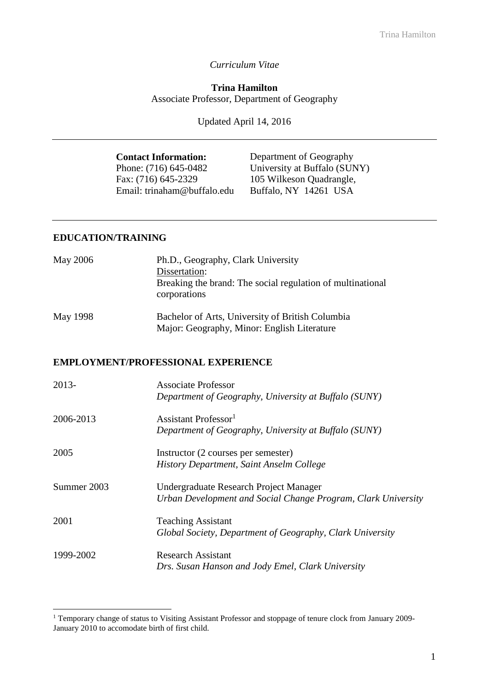### *Curriculum Vitae*

### **Trina Hamilton** Associate Professor, Department of Geography

Updated April 14, 2016

| <b>Contact Information:</b> | Department of Geography      |
|-----------------------------|------------------------------|
| Phone: (716) 645-0482       | University at Buffalo (SUNY) |
| Fax: (716) 645-2329         | 105 Wilkeson Quadrangle,     |
| Email: trinaham@buffalo.edu | Buffalo, NY 14261 USA        |

#### **EDUCATION/TRAINING**

<u>.</u>

| <b>May 2006</b> | Ph.D., Geography, Clark University<br>Dissertation:<br>Breaking the brand: The social regulation of multinational<br>corporations |
|-----------------|-----------------------------------------------------------------------------------------------------------------------------------|
| May 1998        | Bachelor of Arts, University of British Columbia<br>Major: Geography, Minor: English Literature                                   |
|                 | <b>EMPLOYMENT/PROFESSIONAL EXPERIENCE</b>                                                                                         |
| 2013-           | <b>Associate Professor</b><br>Department of Geography, University at Buffalo (SUNY)                                               |
| 2006-2013       | Assistant Professor <sup>1</sup><br>Department of Geography, University at Buffalo (SUNY)                                         |
| 2005            | Instructor (2 courses per semester)<br>History Department, Saint Anselm College                                                   |
| Summer 2003     | Undergraduate Research Project Manager<br>Urban Development and Social Change Program, Clark University                           |
| 2001            | <b>Teaching Assistant</b><br>Global Society, Department of Geography, Clark University                                            |
| 1999-2002       | <b>Research Assistant</b><br>Drs. Susan Hanson and Jody Emel, Clark University                                                    |

<sup>&</sup>lt;sup>1</sup> Temporary change of status to Visiting Assistant Professor and stoppage of tenure clock from January 2009-January 2010 to accomodate birth of first child.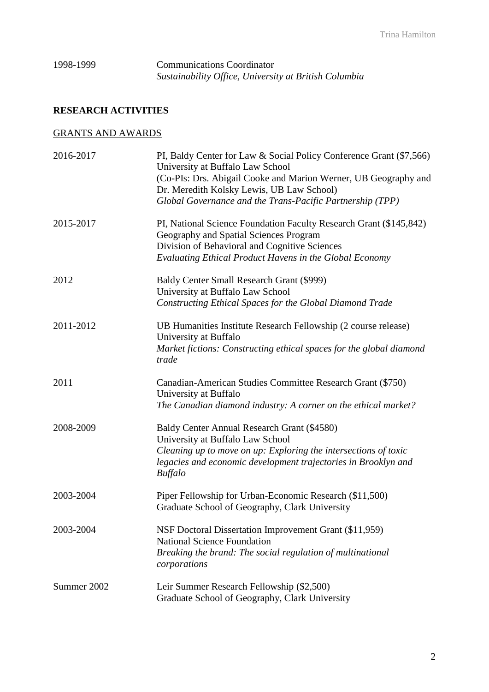## 1998-1999 Communications Coordinator *Sustainability Office, University at British Columbia*

# **RESEARCH ACTIVITIES**

## GRANTS AND AWARDS

| 2016-2017   | PI, Baldy Center for Law & Social Policy Conference Grant (\$7,566)<br>University at Buffalo Law School<br>(Co-PIs: Drs. Abigail Cooke and Marion Werner, UB Geography and |
|-------------|----------------------------------------------------------------------------------------------------------------------------------------------------------------------------|
|             | Dr. Meredith Kolsky Lewis, UB Law School)                                                                                                                                  |
|             | Global Governance and the Trans-Pacific Partnership (TPP)                                                                                                                  |
| 2015-2017   | PI, National Science Foundation Faculty Research Grant (\$145,842)<br>Geography and Spatial Sciences Program                                                               |
|             | Division of Behavioral and Cognitive Sciences<br>Evaluating Ethical Product Havens in the Global Economy                                                                   |
| 2012        | Baldy Center Small Research Grant (\$999)<br>University at Buffalo Law School                                                                                              |
|             | Constructing Ethical Spaces for the Global Diamond Trade                                                                                                                   |
| 2011-2012   | UB Humanities Institute Research Fellowship (2 course release)<br>University at Buffalo                                                                                    |
|             | Market fictions: Constructing ethical spaces for the global diamond<br>trade                                                                                               |
| 2011        | Canadian-American Studies Committee Research Grant (\$750)<br>University at Buffalo                                                                                        |
|             | The Canadian diamond industry: A corner on the ethical market?                                                                                                             |
| 2008-2009   | Baldy Center Annual Research Grant (\$4580)<br>University at Buffalo Law School                                                                                            |
|             | Cleaning up to move on up: Exploring the intersections of toxic<br>legacies and economic development trajectories in Brooklyn and<br><b>Buffalo</b>                        |
| 2003-2004   | Piper Fellowship for Urban-Economic Research (\$11,500)<br>Graduate School of Geography, Clark University                                                                  |
| 2003-2004   | NSF Doctoral Dissertation Improvement Grant (\$11,959)<br><b>National Science Foundation</b>                                                                               |
|             | Breaking the brand: The social regulation of multinational<br>corporations                                                                                                 |
| Summer 2002 | Leir Summer Research Fellowship (\$2,500)<br>Graduate School of Geography, Clark University                                                                                |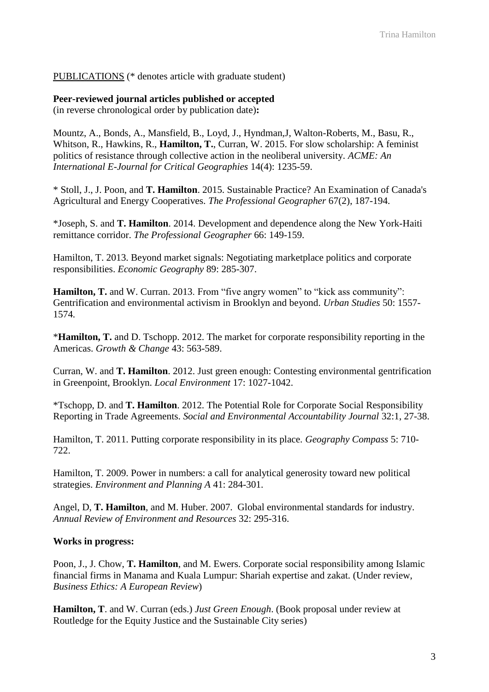PUBLICATIONS (\* denotes article with graduate student)

**Peer-reviewed journal articles published or accepted** (in reverse chronological order by publication date)**:**

Mountz, A., Bonds, A., Mansfield, B., Loyd, J., Hyndman,J, Walton-Roberts, M., Basu, R., Whitson, R., Hawkins, R., **Hamilton, T.**, Curran, W. 2015. For slow scholarship: A feminist politics of resistance through collective action in the neoliberal university. *ACME: An International E-Journal for Critical Geographies* 14(4): 1235-59.

\* Stoll, J., J. Poon, and **T. Hamilton**. 2015. Sustainable Practice? An Examination of Canada's Agricultural and Energy Cooperatives. *The Professional Geographer* 67(2), 187-194.

\*Joseph, S. and **T. Hamilton**. 2014. Development and dependence along the New York-Haiti remittance corridor. *The Professional Geographer* 66: 149-159.

Hamilton, T. 2013. Beyond market signals: Negotiating marketplace politics and corporate responsibilities. *Economic Geography* 89: 285-307.

Hamilton, T. and W. Curran. 2013. From "five angry women" to "kick ass community": Gentrification and environmental activism in Brooklyn and beyond. *Urban Studies* 50: 1557- 1574*.* 

\***Hamilton, T.** and D. Tschopp. 2012. The market for corporate responsibility reporting in the Americas. *Growth & Change* 43: 563-589.

Curran, W. and **T. Hamilton**. 2012. Just green enough: Contesting environmental gentrification in Greenpoint, Brooklyn. *Local Environment* 17: 1027-1042.

\*Tschopp, D. and **T. Hamilton**. 2012. The Potential Role for Corporate Social Responsibility Reporting in Trade Agreements. *Social and Environmental Accountability Journal* 32:1, 27-38.

Hamilton, T. 2011. Putting corporate responsibility in its place. *Geography Compass* 5: 710- 722.

Hamilton, T. 2009. Power in numbers: a call for analytical generosity toward new political strategies. *Environment and Planning A* 41: 284-301.

Angel, D, **T. Hamilton**, and M. Huber. 2007. Global environmental standards for industry. *Annual Review of Environment and Resources* 32: 295-316.

#### **Works in progress:**

Poon, J., J. Chow, **T. Hamilton**, and M. Ewers. Corporate social responsibility among Islamic financial firms in Manama and Kuala Lumpur: Shariah expertise and zakat. (Under review, *Business Ethics: A European Review*)

**Hamilton, T**. and W. Curran (eds.) *Just Green Enough*. (Book proposal under review at Routledge for the Equity Justice and the Sustainable City series)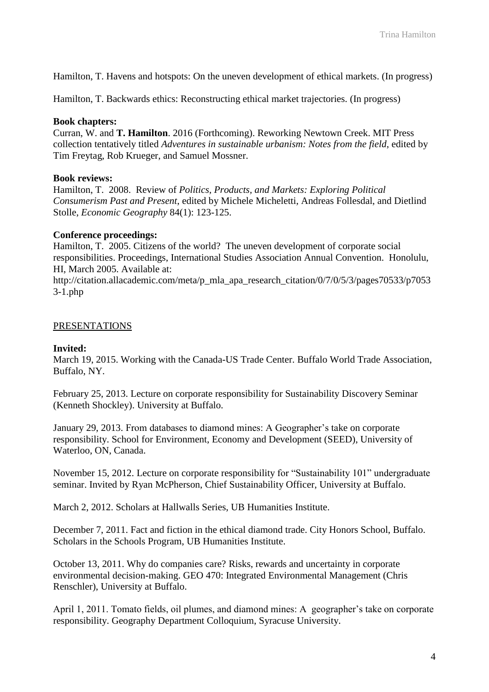Hamilton, T. Havens and hotspots: On the uneven development of ethical markets. (In progress)

Hamilton, T. Backwards ethics: Reconstructing ethical market trajectories. (In progress)

#### **Book chapters:**

Curran, W. and **T. Hamilton**. 2016 (Forthcoming). Reworking Newtown Creek. MIT Press collection tentatively titled *Adventures in sustainable urbanism: Notes from the field*, edited by Tim Freytag, Rob Krueger, and Samuel Mossner.

#### **Book reviews:**

Hamilton, T. 2008. Review of *Politics, Products, and Markets: Exploring Political Consumerism Past and Present*, edited by Michele Micheletti, Andreas Follesdal, and Dietlind Stolle, *Economic Geography* 84(1): 123-125.

#### **Conference proceedings:**

Hamilton, T. 2005. Citizens of the world? The uneven development of corporate social responsibilities. Proceedings, International Studies Association Annual Convention. Honolulu, HI, March 2005. Available at:

http://citation.allacademic.com/meta/p\_mla\_apa\_research\_citation/0/7/0/5/3/pages70533/p7053 3-1.php

#### PRESENTATIONS

#### **Invited:**

March 19, 2015. Working with the Canada-US Trade Center. Buffalo World Trade Association, Buffalo, NY.

February 25, 2013. Lecture on corporate responsibility for Sustainability Discovery Seminar (Kenneth Shockley). University at Buffalo.

January 29, 2013. From databases to diamond mines: A Geographer's take on corporate responsibility. School for Environment, Economy and Development (SEED), University of Waterloo, ON, Canada.

November 15, 2012. Lecture on corporate responsibility for "Sustainability 101" undergraduate seminar. Invited by Ryan McPherson, Chief Sustainability Officer, University at Buffalo.

March 2, 2012. Scholars at Hallwalls Series, UB Humanities Institute.

December 7, 2011. Fact and fiction in the ethical diamond trade. City Honors School, Buffalo. Scholars in the Schools Program, UB Humanities Institute.

October 13, 2011. Why do companies care? Risks, rewards and uncertainty in corporate environmental decision-making. GEO 470: Integrated Environmental Management (Chris Renschler), University at Buffalo.

April 1, 2011. Tomato fields, oil plumes, and diamond mines: A geographer's take on corporate responsibility. Geography Department Colloquium, Syracuse University.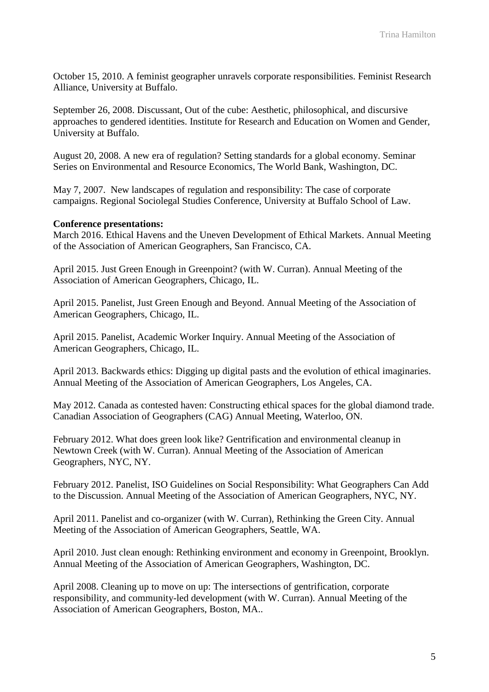October 15, 2010. A feminist geographer unravels corporate responsibilities. Feminist Research Alliance, University at Buffalo.

September 26, 2008. Discussant, Out of the cube: Aesthetic, philosophical, and discursive approaches to gendered identities. Institute for Research and Education on Women and Gender, University at Buffalo.

August 20, 2008. A new era of regulation? Setting standards for a global economy. Seminar Series on Environmental and Resource Economics, The World Bank, Washington, DC.

May 7, 2007. New landscapes of regulation and responsibility: The case of corporate campaigns. Regional Sociolegal Studies Conference, University at Buffalo School of Law.

#### **Conference presentations:**

March 2016. Ethical Havens and the Uneven Development of Ethical Markets. Annual Meeting of the Association of American Geographers, San Francisco, CA.

April 2015. Just Green Enough in Greenpoint? (with W. Curran). Annual Meeting of the Association of American Geographers, Chicago, IL.

April 2015. Panelist, Just Green Enough and Beyond. Annual Meeting of the Association of American Geographers, Chicago, IL.

April 2015. Panelist, Academic Worker Inquiry. Annual Meeting of the Association of American Geographers, Chicago, IL.

April 2013. Backwards ethics: Digging up digital pasts and the evolution of ethical imaginaries. Annual Meeting of the Association of American Geographers, Los Angeles, CA.

May 2012. Canada as contested haven: Constructing ethical spaces for the global diamond trade. Canadian Association of Geographers (CAG) Annual Meeting, Waterloo, ON.

February 2012. What does green look like? Gentrification and environmental cleanup in Newtown Creek (with W. Curran). Annual Meeting of the Association of American Geographers, NYC, NY.

February 2012. Panelist, ISO Guidelines on Social Responsibility: What Geographers Can Add to the Discussion. Annual Meeting of the Association of American Geographers, NYC, NY.

April 2011. Panelist and co-organizer (with W. Curran), Rethinking the Green City. Annual Meeting of the Association of American Geographers, Seattle, WA.

April 2010. Just clean enough: Rethinking environment and economy in Greenpoint, Brooklyn. Annual Meeting of the Association of American Geographers, Washington, DC.

April 2008. Cleaning up to move on up: The intersections of gentrification, corporate responsibility, and community-led development (with W. Curran). Annual Meeting of the Association of American Geographers, Boston, MA..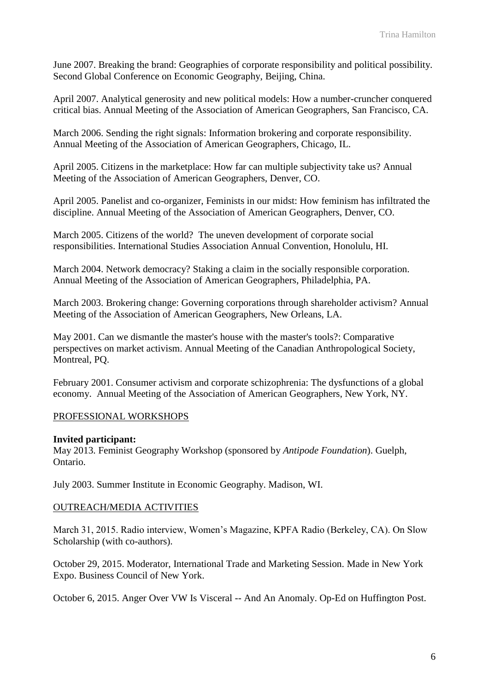June 2007. Breaking the brand: Geographies of corporate responsibility and political possibility. Second Global Conference on Economic Geography, Beijing, China.

April 2007. Analytical generosity and new political models: How a number-cruncher conquered critical bias. Annual Meeting of the Association of American Geographers, San Francisco, CA.

March 2006. Sending the right signals: Information brokering and corporate responsibility. Annual Meeting of the Association of American Geographers, Chicago, IL.

April 2005. Citizens in the marketplace: How far can multiple subjectivity take us? Annual Meeting of the Association of American Geographers, Denver, CO.

April 2005. Panelist and co-organizer, Feminists in our midst: How feminism has infiltrated the discipline. Annual Meeting of the Association of American Geographers, Denver, CO.

March 2005. Citizens of the world? The uneven development of corporate social responsibilities. International Studies Association Annual Convention, Honolulu, HI.

March 2004. Network democracy? Staking a claim in the socially responsible corporation. Annual Meeting of the Association of American Geographers, Philadelphia, PA.

March 2003. Brokering change: Governing corporations through shareholder activism? Annual Meeting of the Association of American Geographers, New Orleans, LA.

May 2001. Can we dismantle the master's house with the master's tools?: Comparative perspectives on market activism. Annual Meeting of the Canadian Anthropological Society, Montreal, PQ.

February 2001. Consumer activism and corporate schizophrenia: The dysfunctions of a global economy. Annual Meeting of the Association of American Geographers, New York, NY.

### PROFESSIONAL WORKSHOPS

#### **Invited participant:**

May 2013. Feminist Geography Workshop (sponsored by *Antipode Foundation*). Guelph, Ontario.

July 2003. Summer Institute in Economic Geography. Madison, WI.

#### OUTREACH/MEDIA ACTIVITIES

March 31, 2015. Radio interview, Women's Magazine, KPFA Radio (Berkeley, CA). On Slow Scholarship (with co-authors).

October 29, 2015. Moderator, International Trade and Marketing Session. Made in New York Expo. Business Council of New York.

October 6, 2015. Anger Over VW Is Visceral -- And An Anomaly. Op-Ed on Huffington Post.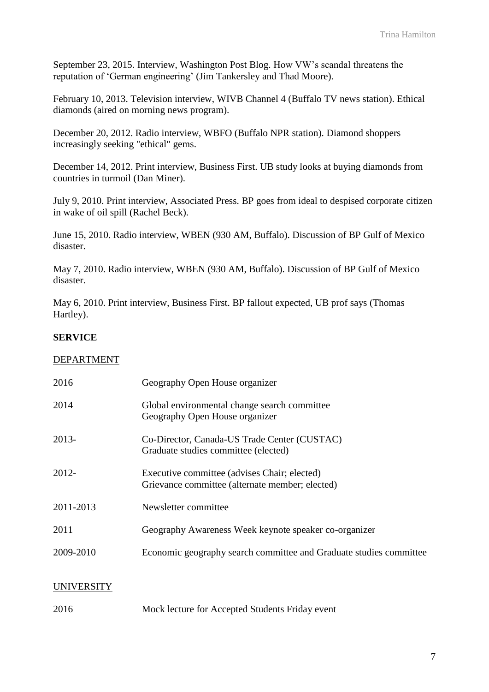September 23, 2015. Interview, Washington Post Blog. How VW's scandal threatens the reputation of 'German engineering' (Jim Tankersley and Thad Moore).

February 10, 2013. Television interview, WIVB Channel 4 (Buffalo TV news station). Ethical diamonds (aired on morning news program).

December 20, 2012. Radio interview, WBFO (Buffalo NPR station). Diamond shoppers increasingly seeking "ethical" gems.

December 14, 2012. Print interview, Business First. UB study looks at buying diamonds from countries in turmoil (Dan Miner).

July 9, 2010. Print interview, Associated Press. BP goes from ideal to despised corporate citizen in wake of oil spill (Rachel Beck).

June 15, 2010. Radio interview, WBEN (930 AM, Buffalo). Discussion of BP Gulf of Mexico disaster.

May 7, 2010. Radio interview, WBEN (930 AM, Buffalo). Discussion of BP Gulf of Mexico disaster.

May 6, 2010. Print interview, Business First. BP fallout expected, UB prof says (Thomas Hartley).

## **SERVICE**

### DEPARTMENT

| 2016       | Geography Open House organizer                                                                  |
|------------|-------------------------------------------------------------------------------------------------|
| 2014       | Global environmental change search committee<br>Geography Open House organizer                  |
| $2013-$    | Co-Director, Canada-US Trade Center (CUSTAC)<br>Graduate studies committee (elected)            |
| $2012 -$   | Executive committee (advises Chair; elected)<br>Grievance committee (alternate member; elected) |
| 2011-2013  | Newsletter committee                                                                            |
| 2011       | Geography Awareness Week keynote speaker co-organizer                                           |
| 2009-2010  | Economic geography search committee and Graduate studies committee                              |
| UNIVERSITY |                                                                                                 |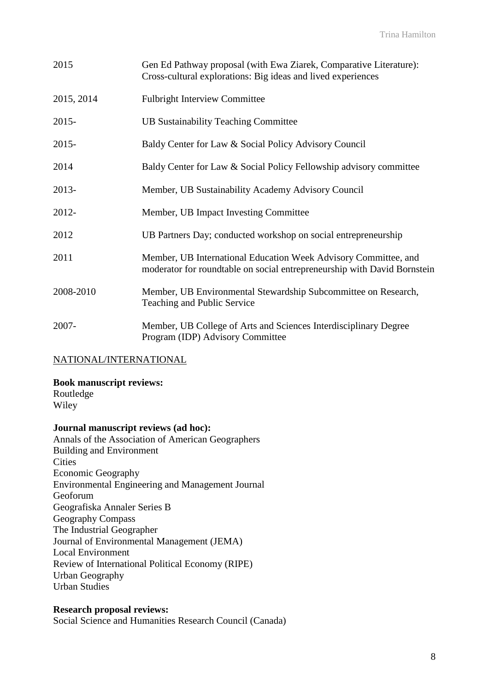| 2015       | Gen Ed Pathway proposal (with Ewa Ziarek, Comparative Literature):<br>Cross-cultural explorations: Big ideas and lived experiences          |
|------------|---------------------------------------------------------------------------------------------------------------------------------------------|
| 2015, 2014 | <b>Fulbright Interview Committee</b>                                                                                                        |
| $2015 -$   | <b>UB Sustainability Teaching Committee</b>                                                                                                 |
| $2015 -$   | Baldy Center for Law & Social Policy Advisory Council                                                                                       |
| 2014       | Baldy Center for Law & Social Policy Fellowship advisory committee                                                                          |
| $2013-$    | Member, UB Sustainability Academy Advisory Council                                                                                          |
| 2012-      | Member, UB Impact Investing Committee                                                                                                       |
| 2012       | UB Partners Day; conducted workshop on social entrepreneurship                                                                              |
| 2011       | Member, UB International Education Week Advisory Committee, and<br>moderator for roundtable on social entrepreneurship with David Bornstein |
| 2008-2010  | Member, UB Environmental Stewardship Subcommittee on Research,<br>Teaching and Public Service                                               |
| $2007 -$   | Member, UB College of Arts and Sciences Interdisciplinary Degree<br>Program (IDP) Advisory Committee                                        |

### NATIONAL/INTERNATIONAL

**Book manuscript reviews:** Routledge

Wiley

### **Journal manuscript reviews (ad hoc):**

Annals of the Association of American Geographers Building and Environment **Cities** Economic Geography Environmental Engineering and Management Journal Geoforum Geografiska Annaler Series B Geography Compass The Industrial Geographer Journal of Environmental Management (JEMA) Local Environment Review of International Political Economy (RIPE) Urban Geography Urban Studies

### **Research proposal reviews:**

Social Science and Humanities Research Council (Canada)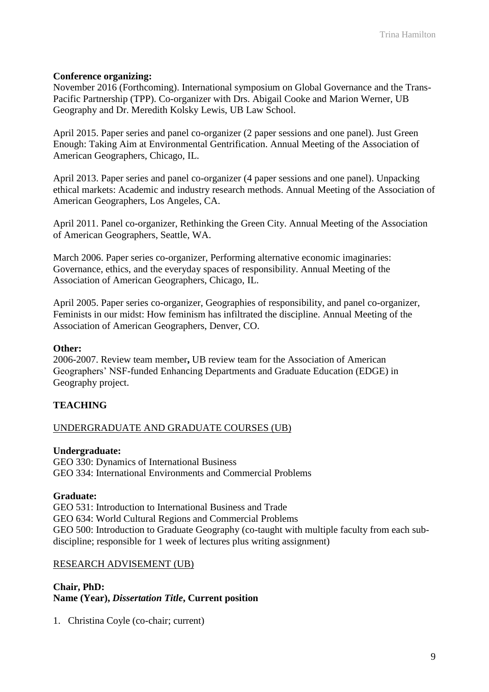### **Conference organizing:**

November 2016 (Forthcoming). International symposium on Global Governance and the Trans-Pacific Partnership (TPP). Co-organizer with Drs. Abigail Cooke and Marion Werner, UB Geography and Dr. Meredith Kolsky Lewis, UB Law School.

April 2015. Paper series and panel co-organizer (2 paper sessions and one panel). Just Green Enough: Taking Aim at Environmental Gentrification. Annual Meeting of the Association of American Geographers, Chicago, IL.

April 2013. Paper series and panel co-organizer (4 paper sessions and one panel). Unpacking ethical markets: Academic and industry research methods. Annual Meeting of the Association of American Geographers, Los Angeles, CA.

April 2011. Panel co-organizer, Rethinking the Green City. Annual Meeting of the Association of American Geographers, Seattle, WA.

March 2006. Paper series co-organizer, Performing alternative economic imaginaries: Governance, ethics, and the everyday spaces of responsibility. Annual Meeting of the Association of American Geographers, Chicago, IL.

April 2005. Paper series co-organizer, Geographies of responsibility, and panel co-organizer, Feminists in our midst: How feminism has infiltrated the discipline. Annual Meeting of the Association of American Geographers, Denver, CO.

#### **Other:**

2006-2007. Review team member**,** UB review team for the Association of American Geographers' NSF-funded Enhancing Departments and Graduate Education (EDGE) in Geography project.

### **TEACHING**

#### UNDERGRADUATE AND GRADUATE COURSES (UB)

#### **Undergraduate:**

GEO 330: Dynamics of International Business GEO 334: International Environments and Commercial Problems

#### **Graduate:**

GEO 531: Introduction to International Business and Trade GEO 634: World Cultural Regions and Commercial Problems GEO 500: Introduction to Graduate Geography (co-taught with multiple faculty from each subdiscipline; responsible for 1 week of lectures plus writing assignment)

#### RESEARCH ADVISEMENT (UB)

### **Chair, PhD: Name (Year),** *Dissertation Title***, Current position**

1. Christina Coyle (co-chair; current)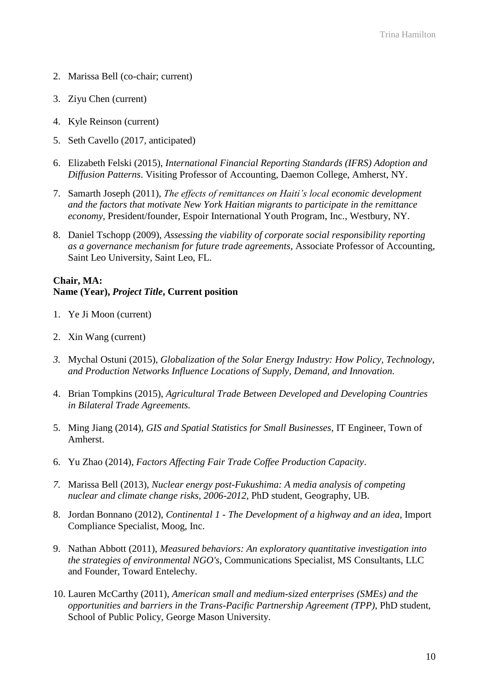- 2. Marissa Bell (co-chair; current)
- 3. Ziyu Chen (current)
- 4. Kyle Reinson (current)
- 5. Seth Cavello (2017, anticipated)
- 6. Elizabeth Felski (2015), *International Financial Reporting Standards (IFRS) Adoption and Diffusion Patterns*. Visiting Professor of Accounting, Daemon College, Amherst, NY.
- 7. Samarth Joseph (2011), *The effects of remittances on Haiti's local economic development and the factors that motivate New York Haitian migrants to participate in the remittance economy,* President/founder, Espoir International Youth Program, Inc., Westbury, NY.
- 8. Daniel Tschopp (2009), *Assessing the viability of corporate social responsibility reporting as a governance mechanism for future trade agreements*, Associate Professor of Accounting, Saint Leo University, Saint Leo, FL.

### **Chair, MA: Name (Year),** *Project Title***, Current position**

- 1. Ye Ji Moon (current)
- 2. Xin Wang (current)
- *3.* Mychal Ostuni (2015), *Globalization of the Solar Energy Industry: How Policy, Technology, and Production Networks Influence Locations of Supply, Demand, and Innovation.*
- 4. Brian Tompkins (2015), *Agricultural Trade Between Developed and Developing Countries in Bilateral Trade Agreements.*
- 5. Ming Jiang (2014), *GIS and Spatial Statistics for Small Businesses*, IT Engineer, Town of Amherst.
- 6. Yu Zhao (2014), *Factors Affecting Fair Trade Coffee Production Capacity*.
- *7.* Marissa Bell (2013), *Nuclear energy post-Fukushima: A media analysis of competing nuclear and climate change risks, 2006-2012,* PhD student, Geography, UB.
- 8. Jordan Bonnano (2012), *Continental 1 - The Development of a highway and an idea*, Import Compliance Specialist, Moog, Inc.
- 9. Nathan Abbott (2011), *Measured behaviors: An exploratory quantitative investigation into the strategies of environmental NGO's*, Communications Specialist, MS Consultants, LLC and Founder, Toward Entelechy.
- 10. Lauren McCarthy (2011), *American small and medium-sized enterprises (SMEs) and the opportunities and barriers in the Trans-Pacific Partnership Agreement (TPP)*, PhD student, School of Public Policy, George Mason University.